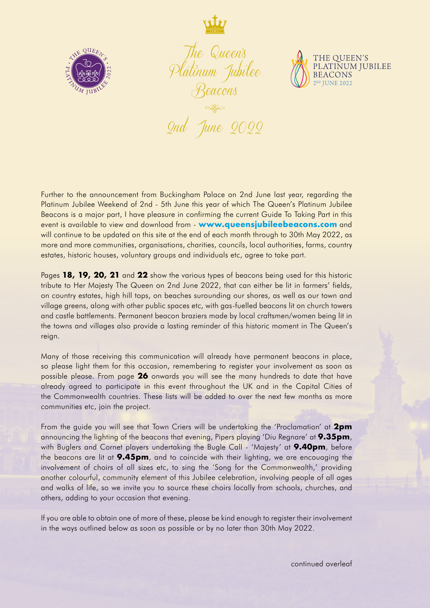



*The Queen's Platinum Jubilee Beacons*



**Report** *2nd June 2022*

Further to the announcement from Buckingham Palace on 2nd June last year, regarding the Platinum Jubilee Weekend of 2nd - 5th June this year of which The Queen's Platinum Jubilee Beacons is a major part, I have pleasure in confirming the current Guide To Taking Part in this event is available to view and download from - **www.queensjubileebeacons.com** and will continue to be updated on this site at the end of each month through to 30th May 2022, as more and more communities, organisations, charities, councils, local authorities, farms, country estates, historic houses, voluntary groups and individuals etc, agree to take part.

Pages **18, 19, 20, 21** and **22** show the various types of beacons being used for this historic tribute to Her Majesty The Queen on 2nd June 2022, that can either be lit in farmers' fields, on country estates, high hill tops, on beaches surounding our shores, as well as our town and village greens, along with other public spaces etc, with gas-fuelled beacons lit on church towers and castle battlements. Permanent beacon braziers made by local craftsmen/women being lit in the towns and villages also provide a lasting reminder of this historic moment in The Queen's reign.

Many of those receiving this communication will already have permanent beacons in place, so please light them for this occasion, remembering to register your involvement as soon as possible please. From page **26** onwards you will see the many hundreds to date that have already agreed to participate in this event throughout the UK and in the Capital Cities of the Commonwealth countries. These lists will be added to over the next few months as more communities etc, join the project.

From the guide you will see that Town Criers will be undertaking the 'Proclamation' at **2pm** announcing the lighting of the beacons that evening, Pipers playing 'Diu Regnare' at **9.35pm**, with Buglers and Cornet players undertaking the Bugle Call - 'Majesty' at **9.40pm**, before the beacons are lit at **9.45pm**, and to coincide with their lighting, we are encouaging the involvement of choirs of all sizes etc, to sing the 'Song for the Commonwealth,' providing another colourful, community element of this Jubilee celebration, involving people of all ages and walks of life, so we invite you to source these choirs locally from schools, churches, and others, adding to your occasion that evening.

If you are able to obtain one of more of these, please be kind enough to register their involvement in the ways outlined below as soon as possible or by no later than 30th May 2022.

continued overleaf